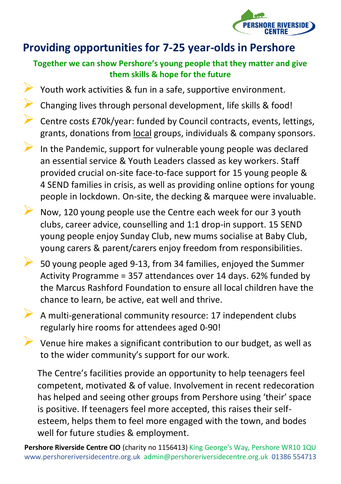

## **Providing opportunities for 7-25 year-olds in Pershore**

#### **Together we can show Pershore's young people that they matter and give them skills & hope for the future**

- ➢ Youth work activities & fun in a safe, supportive environment.
- ➢ Changing lives through personal development, life skills & food!
- ➢ Centre costs £70k/year: funded by Council contracts, events, lettings, grants, donations from local groups, individuals & company sponsors.
- ➢ In the Pandemic, support for vulnerable young people was declared an essential service & Youth Leaders classed as key workers. Staff provided crucial on-site face-to-face support for 15 young people & 4 SEND families in crisis, as well as providing online options for young people in lockdown. On-site, the decking & marquee were invaluable.
- ➢ Now, 120 young people use the Centre each week for our 3 youth clubs, career advice, counselling and 1:1 drop-in support. 15 SEND young people enjoy Sunday Club, new mums socialise at Baby Club, young carers & parent/carers enjoy freedom from responsibilities.
- ➢ 50 young people aged 9-13, from 34 families, enjoyed the Summer Activity Programme = 357 attendances over 14 days. 62% funded by the Marcus Rashford Foundation to ensure all local children have the chance to learn, be active, eat well and thrive.
- ➢ <sup>A</sup> multi-generational community resource: 17 independent clubs regularly hire rooms for attendees aged 0-90!
- $\triangleright$  Venue hire makes a significant contribution to our budget, as well as to the wider community's support for our work.

The Centre's facilities provide an opportunity to help teenagers feel competent, motivated & of value. Involvement in recent redecoration has helped and seeing other groups from Pershore using 'their' space is positive. If teenagers feel more accepted, this raises their selfesteem, helps them to feel more engaged with the town, and bodes well for future studies & employment.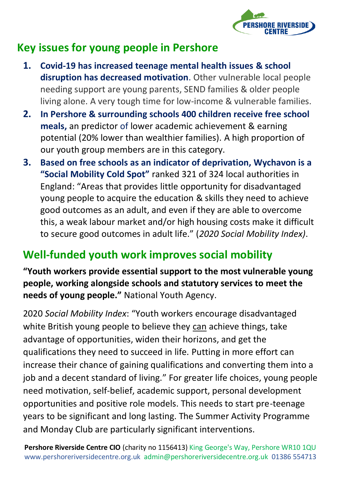

## **Key issues for young people in Pershore**

- **1. Covid-19 has increased teenage mental health issues & school disruption has decreased motivation**. Other vulnerable local people needing support are young parents, SEND families & older people living alone. A very tough time for low-income & vulnerable families.
- **2. In Pershore & surrounding schools 400 children receive free school meals,** an predictor of lower academic achievement & earning potential (20% lower than wealthier families). A high proportion of our youth group members are in this category.
- **3. Based on free schools as an indicator of deprivation, Wychavon is a "Social Mobility Cold Spot"** ranked 321 of 324 local authorities in England: "Areas that provides little opportunity for disadvantaged young people to acquire the education & skills they need to achieve good outcomes as an adult, and even if they are able to overcome this, a weak labour market and/or high housing costs make it difficult to secure good outcomes in adult life." (*2020 Social Mobility Index)*.

## **Well-funded youth work improves social mobility**

**"Youth workers provide essential support to the most vulnerable young people, working alongside schools and statutory services to meet the needs of young people."** National Youth Agency.

2020 *Social Mobility Index*: "Youth workers encourage disadvantaged white British young people to believe they can achieve things, take advantage of opportunities, widen their horizons, and get the qualifications they need to succeed in life. Putting in more effort can increase their chance of gaining qualifications and converting them into a job and a decent standard of living." For greater life choices, young people need motivation, self-belief, academic support, personal development opportunities and positive role models. This needs to start pre-teenage years to be significant and long lasting. The Summer Activity Programme and Monday Club are particularly significant interventions.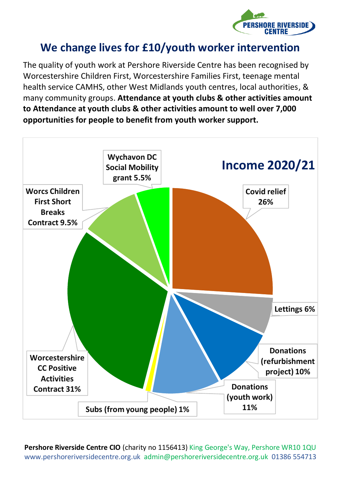

#### **We change lives for £10/youth worker intervention**

The quality of youth work at Pershore Riverside Centre has been recognised by Worcestershire Children First, Worcestershire Families First, teenage mental health service CAMHS, other West Midlands youth centres, local authorities, & many community groups. **Attendance at youth clubs & other activities amount to Attendance at youth clubs & other activities amount to well over 7,000 opportunities for people to benefit from youth worker support.**

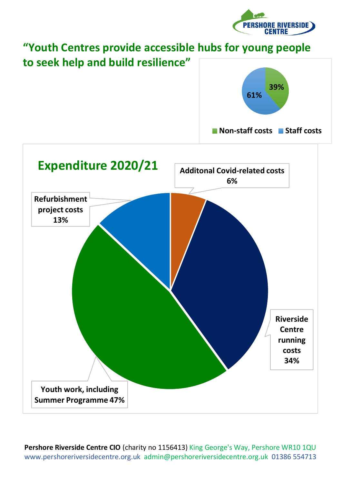

# **"Youth Centres provide accessible hubs for young people to seek help and build resilience" Additonal Covid-related costs 6% Riverside Centre running costs 34% Youth work, including Summer Programme 47% Refurbishment project costs 13% Expenditure 2020/21 39% 61% Non-staff costs** Staff costs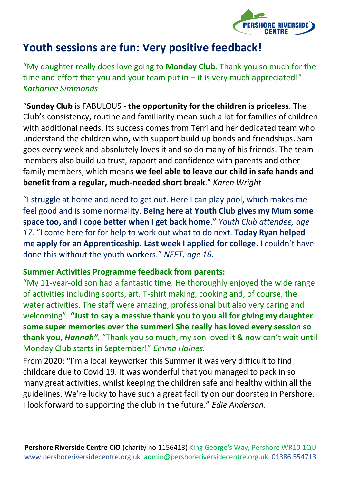

#### **Youth sessions are fun: Very positive feedback!**

"My daughter really does love going to **Monday Club**. Thank you so much for the time and effort that you and your team put in  $-$  it is very much appreciated!" *Katharine Simmonds*

"**Sunday Club** is FABULOUS - **the opportunity for the children is priceless**. The Club's consistency, routine and familiarity mean such a lot for families of children with additional needs. Its success comes from Terri and her dedicated team who understand the children who, with support build up bonds and friendships. Sam goes every week and absolutely loves it and so do many of his friends. The team members also build up trust, rapport and confidence with parents and other family members, which means **we feel able to leave our child in safe hands and benefit from a regular, much-needed short break**." *Karen Wright*

"I struggle at home and need to get out. Here I can play pool, which makes me feel good and is some normality. **Being here at Youth Club gives my Mum some space too, and I cope better when I get back home**." *Youth Club attendee, age 17.* "I come here for for help to work out what to do next. **Today Ryan helped me apply for an Apprenticeship. Last week I applied for college**. I couldn't have done this without the youth workers." *NEET, age 16.*

#### **Summer Activities Programme feedback from parents:**

"My 11-year-old son had a fantastic time. He thoroughly enjoyed the wide range of activities including sports, art, T-shirt making, cooking and, of course, the water activities. The staff were amazing, professional but also very caring and welcoming". **"Just to say a massive thank you to you all for giving my daughter some super memories over the summer! She really has loved every session so thank you,** *Hannah".* "Thank you so much, my son loved it & now can't wait until Monday Club starts in September!" *Emma Haines.*

From 2020: "I'm a local keyworker this Summer it was very difficult to find childcare due to Covid 19. It was wonderful that you managed to pack in so many great activities, whilst keepIng the children safe and healthy within all the guidelines. We're lucky to have such a great facility on our doorstep in Pershore. I look forward to supporting the club in the future." *Edie Anderson.*